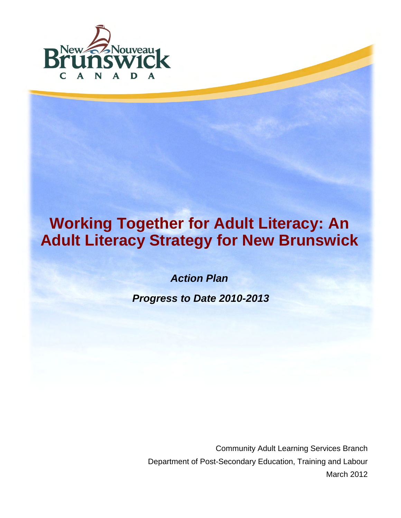

# **Working Together for Adult Literacy: An Adult Literacy Strategy for New Brunswick**

*Action Plan* 

 *Progress to Date 2010-2013* 

Community Adult Learning Services Branch Department of Post-Secondary Education, Training and Labour March 2012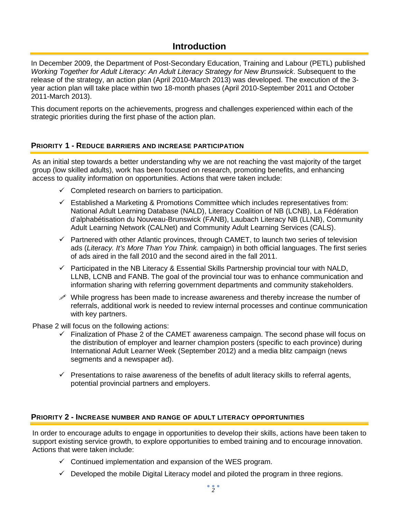## **Introduction**

In December 2009, the Department of Post-Secondary Education, Training and Labour (PETL) published *Working Together for Adult Literacy: An Adult Literacy Strategy for New Brunswick*. Subsequent to the release of the strategy, an action plan (April 2010-March 2013) was developed. The execution of the 3 year action plan will take place within two 18-month phases (April 2010-September 2011 and October 2011-March 2013).

This document reports on the achievements, progress and challenges experienced within each of the strategic priorities during the first phase of the action plan.

#### **PRIORITY 1 - REDUCE BARRIERS AND INCREASE PARTICIPATION**

As an initial step towards a better understanding why we are not reaching the vast majority of the target group (low skilled adults), work has been focused on research, promoting benefits, and enhancing access to quality information on opportunities. Actions that were taken include:

- $\checkmark$  Completed research on barriers to participation.
- $\checkmark$  Established a Marketing & Promotions Committee which includes representatives from: National Adult Learning Database (NALD), Literacy Coalition of NB (LCNB), La Fédération d'alphabétisation du Nouveau-Brunswick (FANB), Laubach Literacy NB (LLNB), Community Adult Learning Network (CALNet) and Community Adult Learning Services (CALS).
- $\checkmark$  Partnered with other Atlantic provinces, through CAMET, to launch two series of television ads (*Literacy. It's More Than You Think.* campaign) in both official languages. The first series of ads aired in the fall 2010 and the second aired in the fall 2011.
- $\checkmark$  Participated in the NB Literacy & Essential Skills Partnership provincial tour with NALD, LLNB, LCNB and FANB. The goal of the provincial tour was to enhance communication and information sharing with referring government departments and community stakeholders.
- $\mathscr N$  While progress has been made to increase awareness and thereby increase the number of referrals, additional work is needed to review internal processes and continue communication with key partners.

Phase 2 will focus on the following actions:

- $\checkmark$  Finalization of Phase 2 of the CAMET awareness campaign. The second phase will focus on the distribution of employer and learner champion posters (specific to each province) during International Adult Learner Week (September 2012) and a media blitz campaign (news segments and a newspaper ad).
- $\checkmark$  Presentations to raise awareness of the benefits of adult literacy skills to referral agents, potential provincial partners and employers.

#### **PRIORITY 2 - INCREASE NUMBER AND RANGE OF ADULT LITERACY OPPORTUNITIES**

In order to encourage adults to engage in opportunities to develop their skills, actions have been taken to support existing service growth, to explore opportunities to embed training and to encourage innovation. Actions that were taken include:

- $\checkmark$  Continued implementation and expansion of the WES program.
- $\checkmark$  Developed the mobile Digital Literacy model and piloted the program in three regions.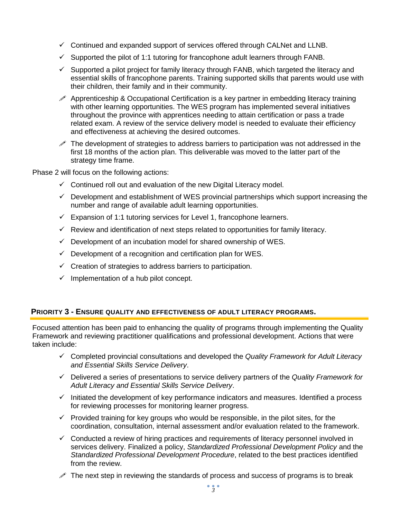- $\checkmark$  Continued and expanded support of services offered through CALNet and LLNB.
- $\checkmark$  Supported the pilot of 1:1 tutoring for francophone adult learners through FANB.
- $\checkmark$  Supported a pilot project for family literacy through FANB, which targeted the literacy and essential skills of francophone parents. Training supported skills that parents would use with their children, their family and in their community.
- $\mathscr P$  Apprenticeship & Occupational Certification is a key partner in embedding literacy training with other learning opportunities. The WES program has implemented several initiatives throughout the province with apprentices needing to attain certification or pass a trade related exam. A review of the service delivery model is needed to evaluate their efficiency and effectiveness at achieving the desired outcomes.
- $\mathscr I$  The development of strategies to address barriers to participation was not addressed in the first 18 months of the action plan. This deliverable was moved to the latter part of the strategy time frame.

Phase 2 will focus on the following actions:

- $\checkmark$  Continued roll out and evaluation of the new Digital Literacy model.
- $\checkmark$  Development and establishment of WES provincial partnerships which support increasing the number and range of available adult learning opportunities.
- $\checkmark$  Expansion of 1:1 tutoring services for Level 1, francophone learners.
- $\checkmark$  Review and identification of next steps related to opportunities for family literacy.
- $\checkmark$  Development of an incubation model for shared ownership of WES.
- $\checkmark$  Development of a recognition and certification plan for WES.
- $\checkmark$  Creation of strategies to address barriers to participation.
- $\checkmark$  Implementation of a hub pilot concept.

#### **PRIORITY 3 - ENSURE QUALITY AND EFFECTIVENESS OF ADULT LITERACY PROGRAMS.**

Focused attention has been paid to enhancing the quality of programs through implementing the Quality Framework and reviewing practitioner qualifications and professional development. Actions that were taken include:

- Completed provincial consultations and developed the *Quality Framework for Adult Literacy and Essential Skills Service Delivery*.
- Delivered a series of presentations to service delivery partners of the *Quality Framework for Adult Literacy and Essential Skills Service Delivery*.
- $\checkmark$  Initiated the development of key performance indicators and measures. Identified a process for reviewing processes for monitoring learner progress.
- $\checkmark$  Provided training for key groups who would be responsible, in the pilot sites, for the coordination, consultation, internal assessment and/or evaluation related to the framework.
- $\checkmark$  Conducted a review of hiring practices and requirements of literacy personnel involved in services delivery. Finalized a policy, *Standardized Professional Development Policy* and the *Standardized Professional Development Procedure*, related to the best practices identified from the review.
- The next step in reviewing the standards of process and success of programs is to break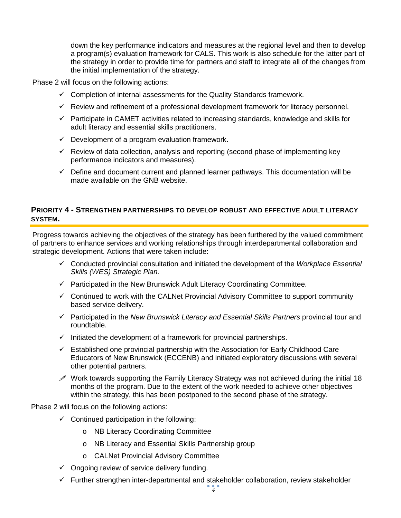down the key performance indicators and measures at the regional level and then to develop a program(s) evaluation framework for CALS. This work is also schedule for the latter part of the strategy in order to provide time for partners and staff to integrate all of the changes from the initial implementation of the strategy.

Phase 2 will focus on the following actions:

- $\checkmark$  Completion of internal assessments for the Quality Standards framework.
- $\checkmark$  Review and refinement of a professional development framework for literacy personnel.
- $\checkmark$  Participate in CAMET activities related to increasing standards, knowledge and skills for adult literacy and essential skills practitioners.
- $\checkmark$  Development of a program evaluation framework.
- $\checkmark$  Review of data collection, analysis and reporting (second phase of implementing key performance indicators and measures).
- $\checkmark$  Define and document current and planned learner pathways. This documentation will be made available on the GNB website.

### **PRIORITY 4 - STRENGTHEN PARTNERSHIPS TO DEVELOP ROBUST AND EFFECTIVE ADULT LITERACY SYSTEM.**

Progress towards achieving the objectives of the strategy has been furthered by the valued commitment of partners to enhance services and working relationships through interdepartmental collaboration and strategic development. Actions that were taken include:

- Conducted provincial consultation and initiated the development of the *Workplace Essential Skills (WES) Strategic Plan*.
- $\checkmark$  Participated in the New Brunswick Adult Literacy Coordinating Committee.
- $\checkmark$  Continued to work with the CALNet Provincial Advisory Committee to support community based service delivery.
- Participated in the *New Brunswick Literacy and Essential Skills Partners* provincial tour and roundtable.
- $\checkmark$  Initiated the development of a framework for provincial partnerships.
- $\checkmark$  Established one provincial partnership with the Association for Early Childhood Care Educators of New Brunswick (ECCENB) and initiated exploratory discussions with several other potential partners.
- $\mathscr S$  Work towards supporting the Family Literacy Strategy was not achieved during the initial 18 months of the program. Due to the extent of the work needed to achieve other objectives within the strategy, this has been postponed to the second phase of the strategy.

Phase 2 will focus on the following actions:

- $\checkmark$  Continued participation in the following:
	- o NB Literacy Coordinating Committee
	- o NB Literacy and Essential Skills Partnership group
	- o CALNet Provincial Advisory Committee
- $\checkmark$  Ongoing review of service delivery funding.
- $\checkmark$  Further strengthen inter-departmental and stakeholder collaboration, review stakeholder